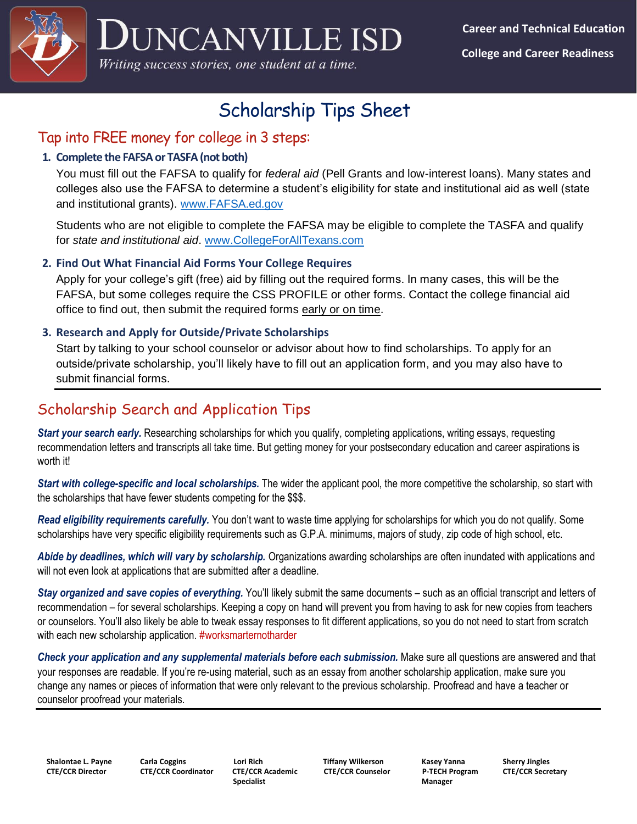

# Scholarship Tips Sheet

### Tap into FREE money for college in 3 steps:

### **1. Complete the FAFSA or TASFA (not both)**

You must fill out the FAFSA to qualify for *federal aid* (Pell Grants and low-interest loans). Many states and colleges also use the FAFSA to determine a student's eligibility for state and institutional aid as well (state and institutional grants). [www.FAFSA.ed.gov](http://www.fafsa.ed.gov/) 

Students who are not eligible to complete the FAFSA may be eligible to complete the TASFA and qualify for *state and institutional aid*. [www.CollegeForAllTexans.com](http://www.collegeforalltexans.com/)

### **2. Find Out What Financial Aid Forms Your College Requires**

Apply for your college's gift (free) aid by filling out the required forms. In many cases, this will be the FAFSA, but some colleges require the CSS PROFILE or other forms. Contact the college financial aid office to find out, then submit the required forms early or on time.

### **3. Research and Apply for Outside/Private Scholarships**

Start by talking to your school counselor or advisor about how to find scholarships. To apply for an outside/private scholarship, you'll likely have to fill out an application form, and you may also have to submit financial forms.

## Scholarship Search and Application Tips

*Start your search early.* Researching scholarships for which you qualify, completing applications, writing essays, requesting recommendation letters and transcripts all take time. But getting money for your postsecondary education and career aspirations is worth it!

*Start with college-specific and local scholarships.* The wider the applicant pool, the more competitive the scholarship, so start with the scholarships that have fewer students competing for the \$\$\$.

*Read eligibility requirements carefully.* You don't want to waste time applying for scholarships for which you do not qualify. Some scholarships have very specific eligibility requirements such as G.P.A. minimums, majors of study, zip code of high school, etc.

*Abide by deadlines, which will vary by scholarship.* Organizations awarding scholarships are often inundated with applications and will not even look at applications that are submitted after a deadline.

*Stay organized and save copies of everything.* You'll likely submit the same documents – such as an official transcript and letters of recommendation – for several scholarships. Keeping a copy on hand will prevent you from having to ask for new copies from teachers or counselors. You'll also likely be able to tweak essay responses to fit different applications, so you do not need to start from scratch with each new scholarship application. #worksmarternotharder

*Check your application and any supplemental materials before each submission.* Make sure all questions are answered and that your responses are readable. If you're re-using material, such as an essay from another scholarship application, make sure you change any names or pieces of information that were only relevant to the previous scholarship. Proofread and have a teacher or counselor proofread your materials.

**Specialist Manager 3 (2018)** Specialist Specialist Manager 3 (2018) Manager 3 (2018) Manager 3 (2019) Manager 3 (30)

 **Shalontae L. Payne Carla Coggins Lori Rich Tiffany Wilkerson Kasey Yanna Sherry Jingles CTE/CCR Director CTE/CCR Coordinator CTE/CCR Academic CTE/CCR Counselor P-TECH Program CTE/CCR Secretary**